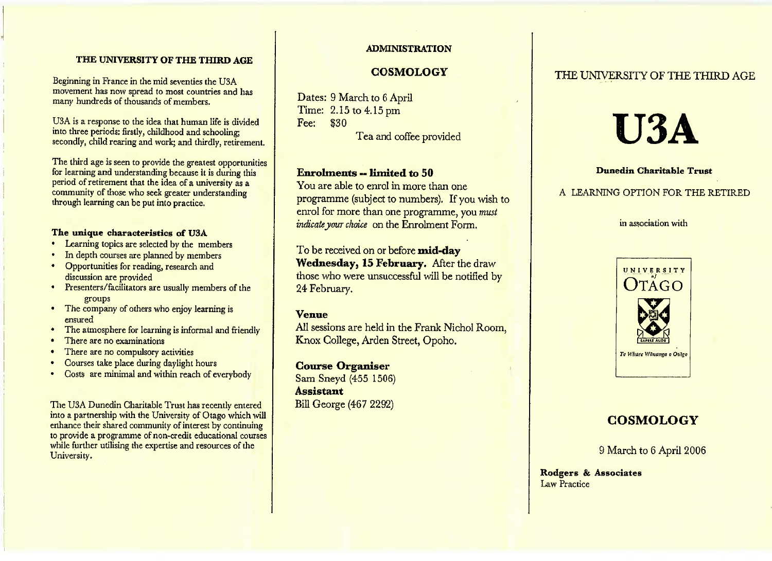## **THE UNIVERSITY OF THE THIRD AGE**

Beginning in France in the mid seventies the USA movement has now spread to most countries and hasmany hundreds of thousands of members,

USA is a response to the idea that human life is divided into three periods: firstly, childhood and schooling;secondly, child rearing and work; and thirdly, retirement.

I he third age is seen to provide the greatest opportunities for learning and understanding because it is during this period of retirement that the idea of a university as a community of those who seek greater understandingthrough learning can be put into practice.

# **The unique characteristics of USA**

- Learning topics are selected by the members
- In depth courses are planned by members
- Opportunities for reading, research anddiscussion are provided
- Presenters/facilitators are usually members of the groups
- The company of others who enjoy learning is ensured
- The atmosphere for learning is informal and friendly
- I here are no examinations
- There are no compulsory activities
- Courses take place during daylight hours
- Costs are minimal and within reach of everybody

The USA Dunedin Charitable Trust has recently enterednto a partnership with the University of Otago which will enhance their shared community of interest by continuing to provide a programme of non-credit educational courseswhile further utilising the expertise and resources of theUniversity.

## **ADMINISTRATION**

## **COSMOLOGY**

Dates: 9 March to 6 April Time: 2.15 to 4.15pm Fee: 830**Tea and coffee provided** 

## **Enrolments -- limited to 50**

 You are able to enrol in more than one programme (subject to numbers). If you wish to enrol for more than one programme, you *mustindicate jour choice* on the Enrolment Form,

To be received on or before **mid-day Wednesday, 15 February.** After the draw those who were unsuccessful will be notified by24 February.

## **Venue**

All sessions are held in the Frank Nichol Room, Knox College, Arden Street, Opoho.

## **Course Organiser**

 Sam Sneyd (455 1506) **Assistant**Bill George (467 2292)

# THE UNIVERSITY OF THE THIRD AGE

# **U3A**

# **Dunedin Charitable Trust**

## A LEARNING OPTION FOR THE RETIRED

in association with



# **COSMOLOGY**

9 March to 6 April 2006

**Rodgers & Associates**Law Practice